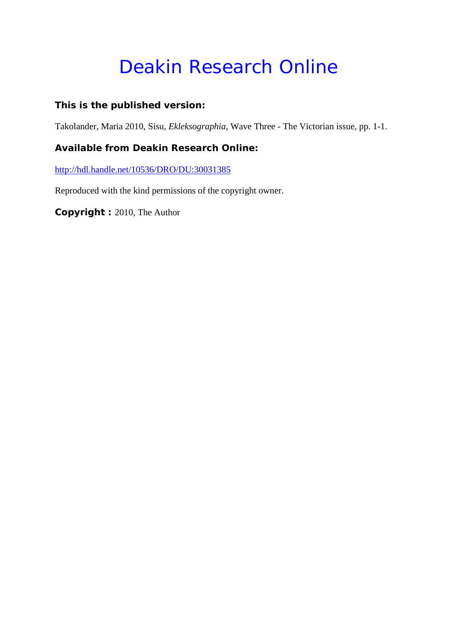## Deakin Research Online

## **This is the published version:**

Takolander, Maria 2010, Sisu*, Ekleksographia*, Wave Three - The Victorian issue, pp. 1-1.

## **Available from Deakin Research Online:**

<http://hdl.handle.net/10536/DRO/DU:30031385>

Reproduced with the kind permissions of the copyright owner.

**Copyright :** 2010, The Author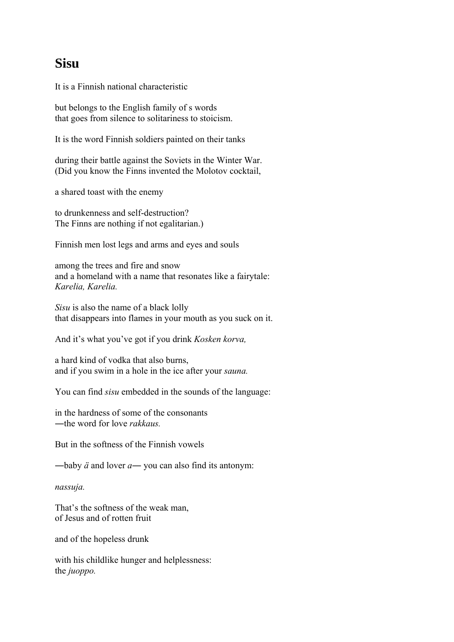## **Sisu**

It is a Finnish national characteristic

but belongs to the English family of s words that goes from silence to solitariness to stoicism.

It is the word Finnish soldiers painted on their tanks

during their battle against the Soviets in the Winter War. (Did you know the Finns invented the Molotov cocktail,

a shared toast with the enemy

to drunkenness and self-destruction? The Finns are nothing if not egalitarian.)

Finnish men lost legs and arms and eyes and souls

among the trees and fire and snow and a homeland with a name that resonates like a fairytale: *Karelia, Karelia.*

*Sisu* is also the name of a black lolly that disappears into flames in your mouth as you suck on it.

And it's what you've got if you drink *Kosken korva,* 

a hard kind of vodka that also burns, and if you swim in a hole in the ice after your *sauna.*

You can find *sisu* embedded in the sounds of the language:

in the hardness of some of the consonants ―the word for love *rakkaus.*

But in the softness of the Finnish vowels

―baby *ä* and lover *a―* you can also find its antonym:

*nassuja.*

That's the softness of the weak man, of Jesus and of rotten fruit

and of the hopeless drunk

with his childlike hunger and helplessness: the *juoppo.*